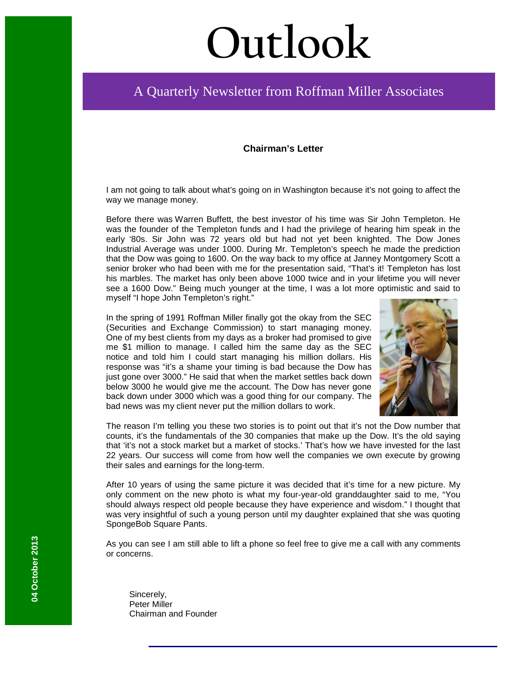# **Outlook**

# A Quarterly Newsletter from Roffman Miller Associates

### **Chairman's Letter**

I am not going to talk about what's going on in Washington because it's not going to affect the way we manage money.

Before there was Warren Buffett, the best investor of his time was Sir John Templeton. He was the founder of the Templeton funds and I had the privilege of hearing him speak in the early '80s. Sir John was 72 years old but had not yet been knighted. The Dow Jones Industrial Average was under 1000. During Mr. Templeton's speech he made the prediction that the Dow was going to 1600. On the way back to my office at Janney Montgomery Scott a senior broker who had been with me for the presentation said, "That's it! Templeton has lost his marbles. The market has only been above 1000 twice and in your lifetime you will never see a 1600 Dow." Being much younger at the time, I was a lot more optimistic and said to myself "I hope John Templeton's right."

In the spring of 1991 Roffman Miller finally got the okay from the SEC (Securities and Exchange Commission) to start managing money. One of my best clients from my days as a broker had promised to give me \$1 million to manage. I called him the same day as the SEC notice and told him I could start managing his million dollars. His response was "it's a shame your timing is bad because the Dow has just gone over 3000." He said that when the market settles back down below 3000 he would give me the account. The Dow has never gone back down under 3000 which was a good thing for our company. The bad news was my client never put the million dollars to work.



The reason I'm telling you these two stories is to point out that it's not the Dow number that counts, it's the fundamentals of the 30 companies that make up the Dow. It's the old saying that 'it's not a stock market but a market of stocks.' That's how we have invested for the last 22 years. Our success will come from how well the companies we own execute by growing their sales and earnings for the long-term.

After 10 years of using the same picture it was decided that it's time for a new picture. My only comment on the new photo is what my four-year-old granddaughter said to me, "You should always respect old people because they have experience and wisdom." I thought that was very insightful of such a young person until my daughter explained that she was quoting SpongeBob Square Pants.

As you can see I am still able to lift a phone so feel free to give me a call with any comments or concerns.

Sincerely, Peter Miller Chairman and Founder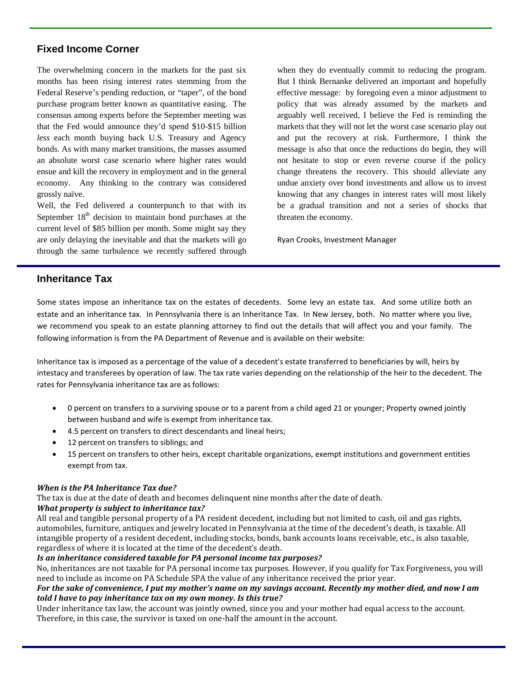# **Fixed Income Corner**

The overwhelming concern in the markets for the past six months has been rising interest rates stemming from the Federal Reserve's pending reduction, or "taper", of the bond purchase program better known as quantitative easing. The consensus among experts before the September meeting was that the Fed would announce they'd spend \$10-\$15 billion *less* each month buying back U.S. Treasury and Agency bonds. As with many market transitions, the masses assumed an absolute worst case scenario where higher rates would ensue and kill the recovery in employment and in the general economy. Any thinking to the contrary was considered grossly naïve.

Well, the Fed delivered a counterpunch to that with its September  $18<sup>th</sup>$  decision to maintain bond purchases at the current level of \$85 billion per month. Some might say they are only delaying the inevitable and that the markets will go through the same turbulence we recently suffered through

when they do eventually commit to reducing the program. But I think Bernanke delivered an important and hopefully effective message: by foregoing even a minor adjustment to policy that was already assumed by the markets and arguably well received, I believe the Fed is reminding the markets that they will not let the worst case scenario play out and put the recovery at risk. Furthermore, I think the message is also that once the reductions do begin, they will not hesitate to stop or even reverse course if the policy change threatens the recovery. This should alleviate any undue anxiety over bond investments and allow us to invest knowing that any changes in interest rates will most likely be a gradual transition and not a series of shocks that threaten the economy.

Ryan Crooks, Investment Manager

# **Inheritance Tax**

Some states impose an inheritance tax on the estates of decedents. Some levy an estate tax. And some utilize both an estate and an inheritance tax. In Pennsylvania there is an Inheritance Tax. In New Jersey, both. No matter where you live, we recommend you speak to an estate planning attorney to find out the details that will affect you and your family. The following information is from the PA Department of Revenue and is available on their website:

Inheritance tax is imposed as a percentage of the value of a decedent's estate transferred to beneficiaries by will, heirs by intestacy and transferees by operation of law. The tax rate varies depending on the relationship of the heir to the decedent. The rates for Pennsylvania inheritance tax are as follows:

- 0 percent on transfers to a surviving spouse or to a parent from a child aged 21 or younger; Property owned jointly between husband and wife is exempt from inheritance tax.
- 4.5 percent on transfers to direct descendants and lineal heirs;
- 12 percent on transfers to siblings; and
- 15 percent on transfers to other heirs, except charitable organizations, exempt institutions and government entities exempt from tax.

#### *When is the PA Inheritance Tax due?*

The tax is due at the date of death and becomes delinquent nine months after the date of death.

#### *What property is subject to inheritance tax?*

All real and tangible personal property of a PA resident decedent, including but not limited to cash, oil and gas rights, automobiles, furniture, antiques and jewelry located in Pennsylvania at the time of the decedent's death, is taxable. All intangible property of a resident decedent, including stocks, bonds, bank accounts loans receivable, etc., is also taxable, regardless of where it is located at the time of the decedent's death.

#### *Is an inheritance considered taxable for PA personal income tax purposes?*

No, inheritances are not taxable for PA personal income tax purposes. However, if you qualify for Tax Forgiveness, you will need to include as income on PA Schedule SPA the value of any inheritance received the prior year.

#### *For the sake of convenience, I put my mother's name on my savings account. Recently my mother died, and now I am told I have to pay inheritance tax on my own money. Is this true?*

Under inheritance tax law, the account was jointly owned, since you and your mother had equal access to the account. Therefore, in this case, the survivor is taxed on one-half the amount in the account.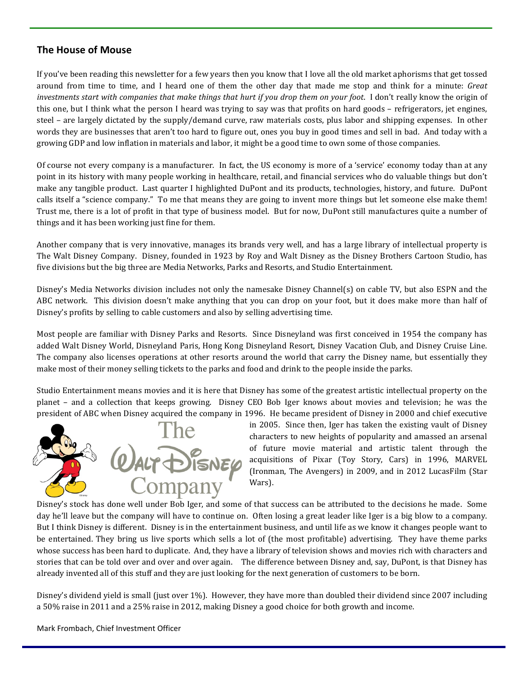# **The House of Mouse**

If you've been reading this newsletter for a few years then you know that I love all the old market aphorisms that get tossed around from time to time, and I heard one of them the other day that made me stop and think for a minute: *Great investments start with companies that make things that hurt if you drop them on your foot*. I don't really know the origin of this one, but I think what the person I heard was trying to say was that profits on hard goods – refrigerators, jet engines, steel – are largely dictated by the supply/demand curve, raw materials costs, plus labor and shipping expenses. In other words they are businesses that aren't too hard to figure out, ones you buy in good times and sell in bad. And today with a growing GDP and low inflation in materials and labor, it might be a good time to own some of those companies.

Of course not every company is a manufacturer. In fact, the US economy is more of a 'service' economy today than at any point in its history with many people working in healthcare, retail, and financial services who do valuable things but don't make any tangible product. Last quarter I highlighted DuPont and its products, technologies, history, and future. DuPont calls itself a "science company." To me that means they are going to invent more things but let someone else make them! Trust me, there is a lot of profit in that type of business model. But for now, DuPont still manufactures quite a number of things and it has been working just fine for them.

Another company that is very innovative, manages its brands very well, and has a large library of intellectual property is The Walt Disney Company. Disney, founded in 1923 by Roy and Walt Disney as the Disney Brothers Cartoon Studio, has five divisions but the big three are Media Networks, Parks and Resorts, and Studio Entertainment.

Disney's Media Networks division includes not only the namesake Disney Channel(s) on cable TV, but also ESPN and the ABC network. This division doesn't make anything that you can drop on your foot, but it does make more than half of Disney's profits by selling to cable customers and also by selling advertising time.

Most people are familiar with Disney Parks and Resorts. Since Disneyland was first conceived in 1954 the company has added Walt Disney World, Disneyland Paris, Hong Kong Disneyland Resort, Disney Vacation Club, and Disney Cruise Line. The company also licenses operations at other resorts around the world that carry the Disney name, but essentially they make most of their money selling tickets to the parks and food and drink to the people inside the parks.

Studio Entertainment means movies and it is here that Disney has some of the greatest artistic intellectual property on the planet – and a collection that keeps growing. Disney CEO Bob Iger knows about movies and television; he was the president of ABC when Disney acquired the company in 1996. He became president of Disney in 2000 and chief executive



in 2005. Since then, Iger has taken the existing vault of Disney characters to new heights of popularity and amassed an arsenal of future movie material and artistic talent through the acquisitions of Pixar (Toy Story, Cars) in 1996, MARVEL (Ironman, The Avengers) in 2009, and in 2012 LucasFilm (Star Wars).

Disney's stock has done well under Bob Iger, and some of that success can be attributed to the decisions he made. Some day he'll leave but the company will have to continue on. Often losing a great leader like Iger is a big blow to a company. But I think Disney is different. Disney is in the entertainment business, and until life as we know it changes people want to be entertained. They bring us live sports which sells a lot of (the most profitable) advertising. They have theme parks whose success has been hard to duplicate. And, they have a library of television shows and movies rich with characters and stories that can be told over and over and over again. The difference between Disney and, say, DuPont, is that Disney has already invented all of this stuff and they are just looking for the next generation of customers to be born.

Disney's dividend yield is small (just over 1%). However, they have more than doubled their dividend since 2007 including a 50% raise in 2011 and a 25% raise in 2012, making Disney a good choice for both growth and income.